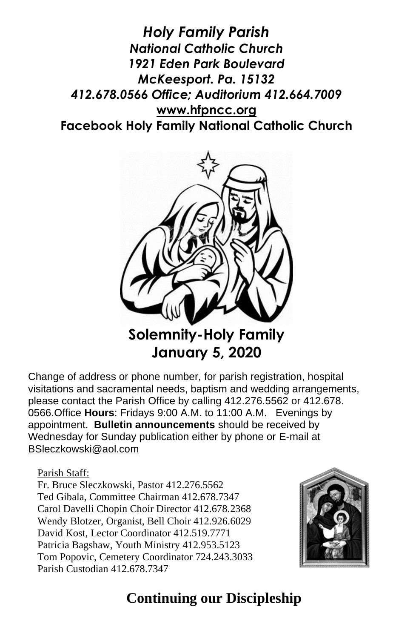*Holy Family Parish National Catholic Church 1921 Eden Park Boulevard McKeesport. Pa. 15132 412.678.0566 Office; Auditorium 412.664.7009* **[www.hfpncc.org](http://www.hfpncc.org/) Facebook Holy Family National Catholic Church**



Change of address or phone number, for parish registration, hospital visitations and sacramental needs, baptism and wedding arrangements, please contact the Parish Office by calling 412.276.5562 or 412.678. 0566.Office **Hours**: Fridays 9:00 A.M. to 11:00 A.M. Evenings by appointment. **Bulletin announcements** should be received by Wednesday for Sunday publication either by phone or E-mail at [BSleczkowski@aol.com](mailto:BSleczkowski@aol.com)

Parish Staff:

Fr. Bruce Sleczkowski, Pastor 412.276.5562 Ted Gibala, Committee Chairman 412.678.7347 Carol Davelli Chopin Choir Director 412.678.2368 Wendy Blotzer, Organist, Bell Choir 412.926.6029 David Kost, Lector Coordinator 412.519.7771 Patricia Bagshaw, Youth Ministry 412.953.5123 Tom Popovic, Cemetery Coordinator 724.243.3033 Parish Custodian 412.678.7347



# **Continuing our Discipleship**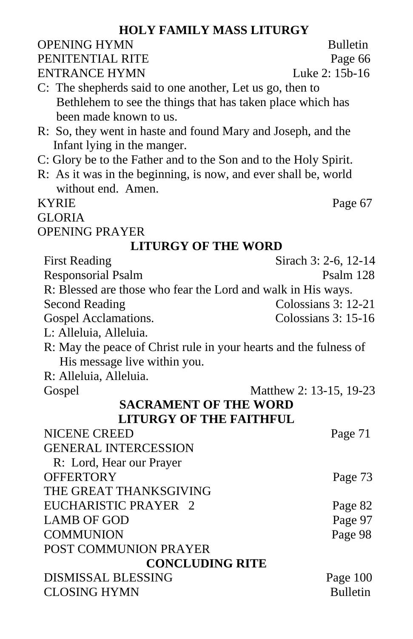#### **HOLY FAMILY MASS LITURGY**

OPENING HYMN Bulletin

PENITENTIAL RITE Page 66

ENTRANCE HYMN
Luke 2: 15b-16

- C: The shepherds said to one another, Let us go, then to Bethlehem to see the things that has taken place which has been made known to us.
- R: So, they went in haste and found Mary and Joseph, and the Infant lying in the manger.
- C: Glory be to the Father and to the Son and to the Holy Spirit.
- R: As it was in the beginning, is now, and ever shall be, world without end. Amen.

KYRIE Page 67

GLORIA

OPENING PRAYER

#### **LITURGY OF THE WORD**

| <b>First Reading</b>                                              | Sirach 3: 2-6, 12-14    |  |  |  |  |  |  |  |
|-------------------------------------------------------------------|-------------------------|--|--|--|--|--|--|--|
| <b>Responsorial Psalm</b>                                         | Psalm 128               |  |  |  |  |  |  |  |
| R: Blessed are those who fear the Lord and walk in His ways.      |                         |  |  |  |  |  |  |  |
| <b>Second Reading</b>                                             | Colossians $3: 12-21$   |  |  |  |  |  |  |  |
| Gospel Acclamations.                                              | Colossians 3: 15-16     |  |  |  |  |  |  |  |
| L: Alleluia, Alleluia.                                            |                         |  |  |  |  |  |  |  |
| R: May the peace of Christ rule in your hearts and the fulness of |                         |  |  |  |  |  |  |  |
| His message live within you.                                      |                         |  |  |  |  |  |  |  |
| R: Alleluia, Alleluia.                                            |                         |  |  |  |  |  |  |  |
| Gospel                                                            | Matthew 2: 13-15, 19-23 |  |  |  |  |  |  |  |
| <b>SACRAMENT OF THE WORD</b>                                      |                         |  |  |  |  |  |  |  |
| <b>LITURGY OF THE FAITHFUL</b>                                    |                         |  |  |  |  |  |  |  |
| <b>NICENE CREED</b>                                               | Page 71                 |  |  |  |  |  |  |  |
| <b>GENERAL INTERCESSION</b>                                       |                         |  |  |  |  |  |  |  |
| R: Lord, Hear our Prayer                                          |                         |  |  |  |  |  |  |  |
| <b>OFFERTORY</b>                                                  | Page 73                 |  |  |  |  |  |  |  |
| THE GREAT THANKSGIVING                                            |                         |  |  |  |  |  |  |  |
| EUCHARISTIC PRAYER 2                                              | Page 82                 |  |  |  |  |  |  |  |
| <b>LAMB OF GOD</b>                                                | Page 97                 |  |  |  |  |  |  |  |
| <b>COMMUNION</b>                                                  | Page 98                 |  |  |  |  |  |  |  |
| POST COMMUNION PRAYER                                             |                         |  |  |  |  |  |  |  |
| <b>CONCLUDING RITE</b>                                            |                         |  |  |  |  |  |  |  |
| <b>DISMISSAL BLESSING</b>                                         | Page 100                |  |  |  |  |  |  |  |
| <b>CLOSING HYMN</b>                                               | <b>Bulletin</b>         |  |  |  |  |  |  |  |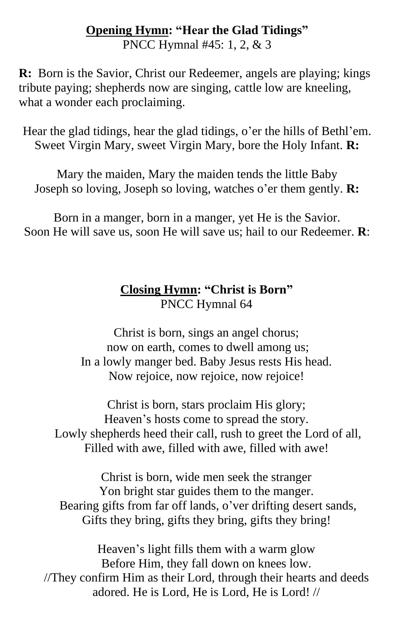#### **Opening Hymn: "Hear the Glad Tidings"**

PNCC Hymnal #45: 1, 2, & 3

**R:** Born is the Savior, Christ our Redeemer, angels are playing; kings tribute paying; shepherds now are singing, cattle low are kneeling, what a wonder each proclaiming.

Hear the glad tidings, hear the glad tidings, o'er the hills of Bethl'em. Sweet Virgin Mary, sweet Virgin Mary, bore the Holy Infant. **R:**

Mary the maiden, Mary the maiden tends the little Baby Joseph so loving, Joseph so loving, watches o'er them gently. **R:**

Born in a manger, born in a manger, yet He is the Savior. Soon He will save us, soon He will save us; hail to our Redeemer. **R**:

#### **Closing Hymn: "Christ is Born"** PNCC Hymnal 64

Christ is born, sings an angel chorus; now on earth, comes to dwell among us; In a lowly manger bed. Baby Jesus rests His head. Now rejoice, now rejoice, now rejoice!

Christ is born, stars proclaim His glory; Heaven's hosts come to spread the story. Lowly shepherds heed their call, rush to greet the Lord of all, Filled with awe, filled with awe, filled with awe!

Christ is born, wide men seek the stranger Yon bright star guides them to the manger. Bearing gifts from far off lands, o'ver drifting desert sands, Gifts they bring, gifts they bring, gifts they bring!

Heaven's light fills them with a warm glow Before Him, they fall down on knees low. //They confirm Him as their Lord, through their hearts and deeds adored. He is Lord, He is Lord, He is Lord! //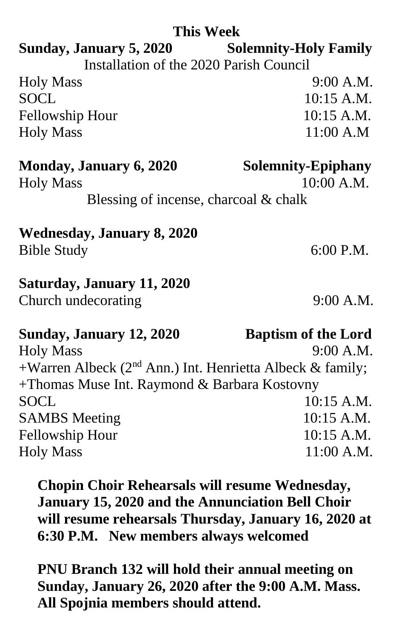#### **This Week**

#### **Sunday, January 5, 2020 Solemnity-Holy Family** Installation of the 2020 Parish Council

Holy Mass 9:00 A.M.  $SOCI.$  10:15 A.M. Fellowship Hour 10:15 A.M. Holy Mass 11:00 A.M

# **Monday, January 6, 2020 Solemnity-Epiphany**

Holy Mass  $10:00$  A.M.

Blessing of incense, charcoal & chalk

#### **Wednesday, January 8, 2020**  Bible Study 6:00 P.M.

# **Saturday, January 11, 2020**

Church undecorating 9:00 A.M.

# **Sunday, January 12, 2020 Baptism of the Lord** Holy Mass 9:00 A.M.

+Warren Albeck (2nd Ann.) Int. Henrietta Albeck & family; +Thomas Muse Int. Raymond & Barbara Kostovny  $SOCI$  10:15 A.M. SAMBS Meeting 10:15 A.M. Fellowship Hour 10:15 A.M. Holy Mass 11:00 A.M.

**Chopin Choir Rehearsals will resume Wednesday, January 15, 2020 and the Annunciation Bell Choir will resume rehearsals Thursday, January 16, 2020 at 6:30 P.M. New members always welcomed**

**PNU Branch 132 will hold their annual meeting on Sunday, January 26, 2020 after the 9:00 A.M. Mass. All Spojnia members should attend.**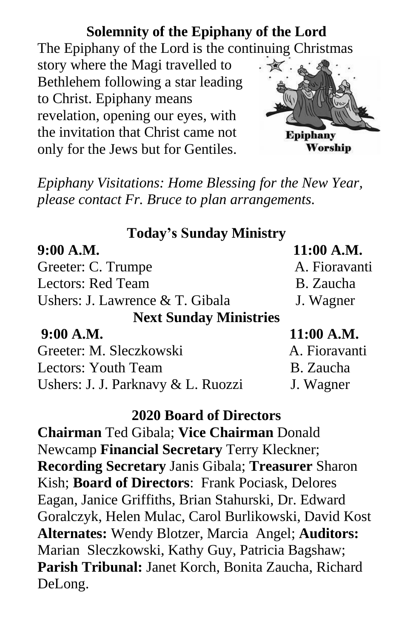# **Solemnity of the Epiphany of the Lord**

The Epiphany of the Lord is the continuing Christmas story where the Magi travelled to  $\rightarrow$ Bethlehem following a star leading to Christ. Epiphany means revelation, opening our eyes, with the invitation that Christ came not only for the Jews but for Gentiles.



*Epiphany Visitations: Home Blessing for the New Year, please contact Fr. Bruce to plan arrangements.*

#### **Today's Sunday Ministry**

| 9:00 A.M.                       | 11:00 A.M.    |
|---------------------------------|---------------|
| Greeter: C. Trumpe              | A. Fioravanti |
| <b>Lectors: Red Team</b>        | B. Zaucha     |
| Ushers: J. Lawrence & T. Gibala | J. Wagner     |
| <b>Next Sunday Ministries</b>   |               |
| 9:00 A.M.                       | 11:00 A.M.    |
| Greeter: M. Sleczkowski         | A. Fioravanti |
| Lectors: Youth Team             | B. Zaucha     |

Ushers: J. J. Parknavy & L. Ruozzi J. Wagner

# **2020 Board of Directors**

**Chairman** Ted Gibala; **Vice Chairman** Donald Newcamp **Financial Secretary** Terry Kleckner; **Recording Secretary** Janis Gibala; **Treasurer** Sharon Kish; **Board of Directors**: Frank Pociask, Delores Eagan, Janice Griffiths, Brian Stahurski, Dr. Edward Goralczyk, Helen Mulac, Carol Burlikowski, David Kost **Alternates:** Wendy Blotzer, Marcia Angel; **Auditors:** Marian Sleczkowski, Kathy Guy, Patricia Bagshaw; **Parish Tribunal:** Janet Korch, Bonita Zaucha, Richard DeLong.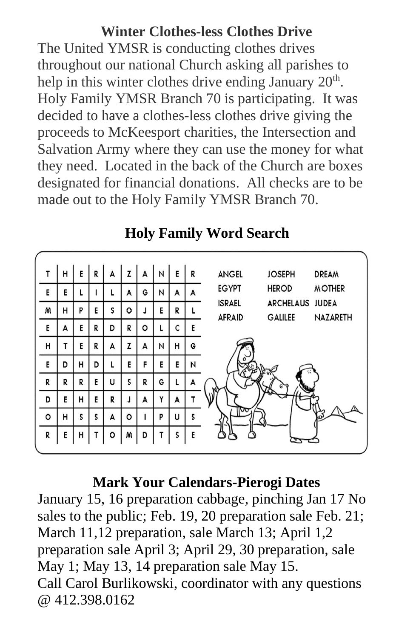#### **Winter Clothes-less Clothes Drive**

The United YMSR is conducting clothes drives throughout our national Church asking all parishes to help in this winter clothes drive ending January 20<sup>th</sup>. Holy Family YMSR Branch 70 is participating. It was decided to have a clothes-less clothes drive giving the proceeds to McKeesport charities, the Intersection and Salvation Army where they can use the money for what they need. Located in the back of the Church are boxes designated for financial donations. All checks are to be made out to the Holy Family YMSR Branch 70.

| т       | н | E | R | A | z | A | N | E | R | <b>JOSEPH</b><br><b>ANGEL</b><br><b>DREAM</b> |
|---------|---|---|---|---|---|---|---|---|---|-----------------------------------------------|
| Е       | E |   |   |   | А | Ĝ | N | А | А | <b>EGYPT</b><br><b>HEROD</b><br><b>MOTHER</b> |
| w       | н | P | Ε | s | ٥ | J | E | R |   | <b>ISRAEL</b><br>ARCHELAUS JUDEA              |
| Ε       | А | E | R | D | R | ٥ | L | C | E | <b>AFRAID</b><br><b>GALILEE</b><br>NAZARETH   |
| н       | т | E | R | A | z | А | N | н | G |                                               |
| Ε       | D | н | D |   | E | F | E | E | И |                                               |
| R       | R | R | Е | U | s | R | G |   | А |                                               |
| D       | E | н | E | R |   | A | Y | А |   |                                               |
| $\circ$ | н | S | s | A | ۰ |   | P | U | S | অ                                             |
| R       | E | н |   | ٥ | м | D | T | S | E |                                               |
|         |   |   |   |   |   |   |   |   |   |                                               |

## **Holy Family Word Search**

#### **Mark Your Calendars-Pierogi Dates**

January 15, 16 preparation cabbage, pinching Jan 17 No sales to the public; Feb. 19, 20 preparation sale Feb. 21; March 11,12 preparation, sale March 13; April 1,2 preparation sale April 3; April 29, 30 preparation, sale May 1; May 13, 14 preparation sale May 15. Call Carol Burlikowski, coordinator with any questions @ 412.398.0162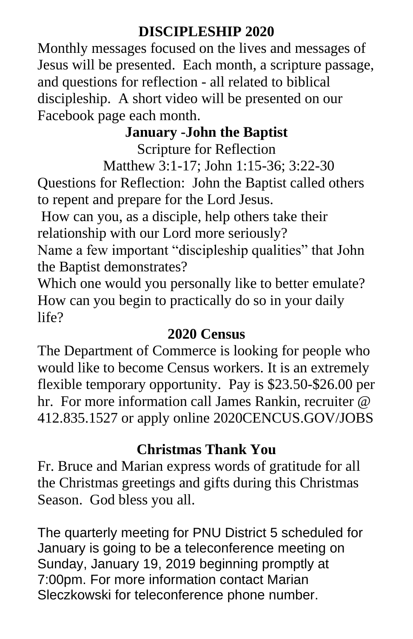## **DISCIPLESHIP 2020**

Monthly messages focused on the lives and messages of Jesus will be presented. Each month, a scripture passage, and questions for reflection - all related to biblical discipleship. A short video will be presented on our Facebook page each month.

#### **January -John the Baptist**

Scripture for Reflection

Matthew 3:1-17; John 1:15-36; 3:22-30

Questions for Reflection: John the Baptist called others to repent and prepare for the Lord Jesus.

How can you, as a disciple, help others take their relationship with our Lord more seriously?

Name a few important "discipleship qualities" that John the Baptist demonstrates?

Which one would you personally like to better emulate? How can you begin to practically do so in your daily life?

#### **2020 Census**

The Department of Commerce is looking for people who would like to become Census workers. It is an extremely flexible temporary opportunity. Pay is \$23.50-\$26.00 per hr. For more information call James Rankin, recruiter @ 412.835.1527 or apply online 2020CENCUS.GOV/JOBS

## **Christmas Thank You**

Fr. Bruce and Marian express words of gratitude for all the Christmas greetings and gifts during this Christmas Season. God bless you all.

The quarterly meeting for PNU District 5 scheduled for January is going to be a teleconference meeting on Sunday, January 19, 2019 beginning promptly at 7:00pm. For more information contact Marian Sleczkowski for teleconference phone number.